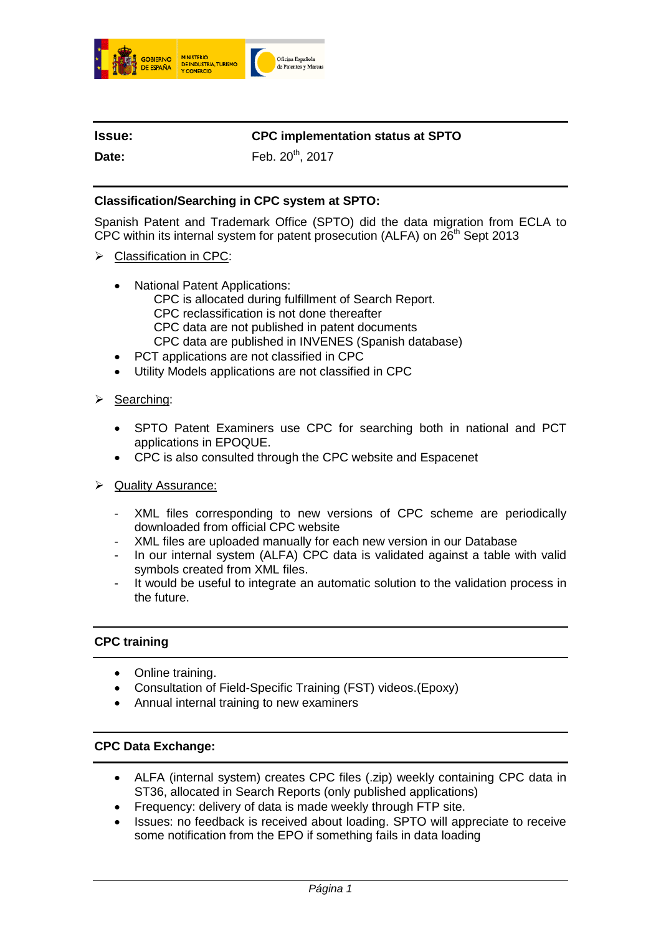

## **Issue: CPC implementation status at SPTO**

**Date:** Feb. 20<sup>th</sup>, 2017

# **Classification/Searching in CPC system at SPTO:**

Spanish Patent and Trademark Office (SPTO) did the data migration from ECLA to CPC within its internal system for patent prosecution (ALFA) on  $26<sup>th</sup>$  Sept 2013

- $\triangleright$  Classification in CPC:
	- National Patent Applications:
		- CPC is allocated during fulfillment of Search Report.
		- CPC reclassification is not done thereafter
		- CPC data are not published in patent documents
		- CPC data are published in INVENES (Spanish database)
	- PCT applications are not classified in CPC
	- Utility Models applications are not classified in CPC

## $\triangleright$  Searching:

- SPTO Patent Examiners use CPC for searching both in national and PCT applications in EPOQUE.
- CPC is also consulted through the CPC website and Espacenet
- **▶ Quality Assurance:** 
	- XML files corresponding to new versions of CPC scheme are periodically downloaded from official CPC website
	- XML files are uploaded manually for each new version in our Database
	- In our internal system (ALFA) CPC data is validated against a table with valid symbols created from XML files.
	- It would be useful to integrate an automatic solution to the validation process in the future.

## **CPC training**

- Online training.
- Consultation of Field-Specific Training (FST) videos.(Epoxy)
- Annual internal training to new examiners

## **CPC Data Exchange:**

- ALFA (internal system) creates CPC files (.zip) weekly containing CPC data in ST36, allocated in Search Reports (only published applications)
- Frequency: delivery of data is made weekly through FTP site.
- Issues: no feedback is received about loading. SPTO will appreciate to receive some notification from the EPO if something fails in data loading